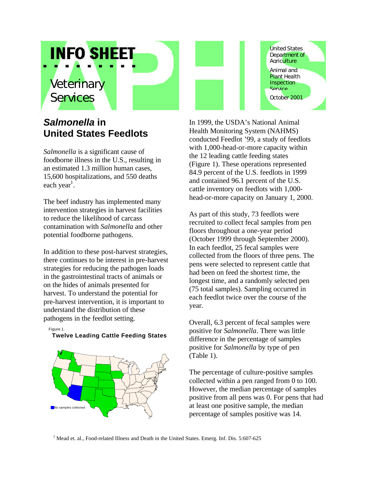# *Veterinary Services*

**INFO SHEET** 

## *Salmonella* **in United States Feedlots**

*Salmonella* is a significant cause of foodborne illness in the U.S., resulting in an estimated 1.3 million human cases, 15,600 hospitalizations, and 550 deaths each year<sup>1</sup>.

The beef industry has implemented many intervention strategies in harvest facilities to reduce the likelihood of carcass contamination with *Salmonella* and other potential foodborne pathogens.

In addition to these post-harvest strategies, there continues to be interest in pre-harvest strategies for reducing the pathogen loads in the gastrointestinal tracts of animals or on the hides of animals presented for harvest. To understand the potential for pre-harvest intervention, it is important to understand the distribution of these pathogens in the feedlot setting.

Figure 1.

### **Twelve Leading Cattle Feeding States**



United States Department of **Agriculture** Animal and **Plant Health** Inspection **Service** October 2001

In 1999, the USDA's National Animal Health Monitoring System (NAHMS) conducted Feedlot '99, a study of feedlots with 1,000-head-or-more capacity within the 12 leading cattle feeding states (Figure 1). These operations represented 84.9 percent of the U.S. feedlots in 1999 and contained 96.1 percent of the U.S. cattle inventory on feedlots with 1,000 head-or-more capacity on January 1, 2000.

As part of this study, 73 feedlots were recruited to collect fecal samples from pen floors throughout a one-year period (October 1999 through September 2000). In each feedlot, 25 fecal samples were collected from the floors of three pens. The pens were selected to represent cattle that had been on feed the shortest time, the longest time, and a randomly selected pen (75 total samples). Sampling occurred in each feedlot twice over the course of the year.

Overall, 6.3 percent of fecal samples were positive for *Salmonella*. There was little difference in the percentage of samples positive for *Salmonella* by type of pen (Table 1).

The percentage of culture-positive samples collected within a pen ranged from 0 to 100. However, the median percentage of samples positive from all pens was 0. For pens that had at least one positive sample, the median percentage of samples positive was 14.